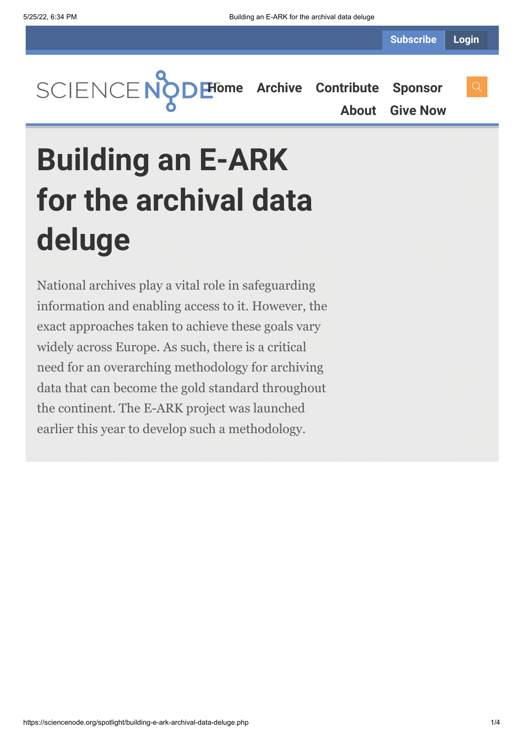**[Home](https://sciencenode.org/) [Archive](https://sciencenode.org/archive/index.php) [Contribute](https://sciencenode.org/contribute/index.php) [Sponsor](https://sciencenode.org/sponsor/index.php) [About](https://sciencenode.org/about/index.php) [Give Now](https://sciencenode.org/donate/index.php)**

# **Building an E-ARK for the archival data deluge**

National archives play a vital role in safeguarding information and enabling access to it. However, the exact approaches taken to achieve these goals vary widely across Europe. As such, there is a critical need for an overarching methodology for archiving data that can become the gold standard throughout the continent. The E-ARK project was launched earlier this year to develop such a methodology.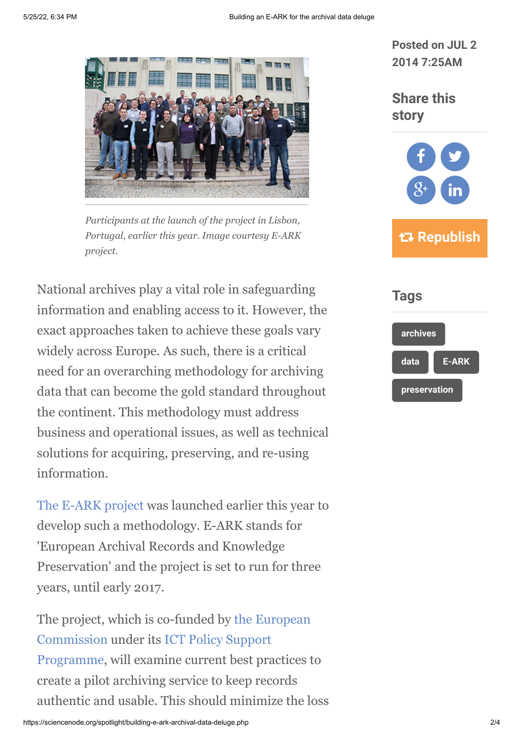

*Participants at the launch of the project in Lisbon, Portugal, earlier this year. Image courtesy E-ARK project.*

National archives play a vital role in safeguarding information and enabling access to it. However, the exact approaches taken to achieve these goals vary widely across Europe. As such, there is a critical need for an overarching methodology for archiving data that can become the gold standard throughout the continent. This methodology must address business and operational issues, as well as technical solutions for acquiring, preserving, and re-using information.

[The E-ARK project](http://eark-project.eu/) was launched earlier this year to develop such a methodology. E-ARK stands for 'European Archival Records and Knowledge Preservation' and the project is set to run for three years, until early 2017.

[The project, which is co-funded by the European](http://ec.europa.eu/index_en.htm) Commission under its ICT Policy Support [Programme, will examine current best pra](http://ec.europa.eu/digital-agenda/en/ict-policy-support-programme)ctices to create a pilot archiving service to keep records authentic and usable. This should minimize the loss **Posted on JUL 2 2014 7:25AM**

## **Share this story**



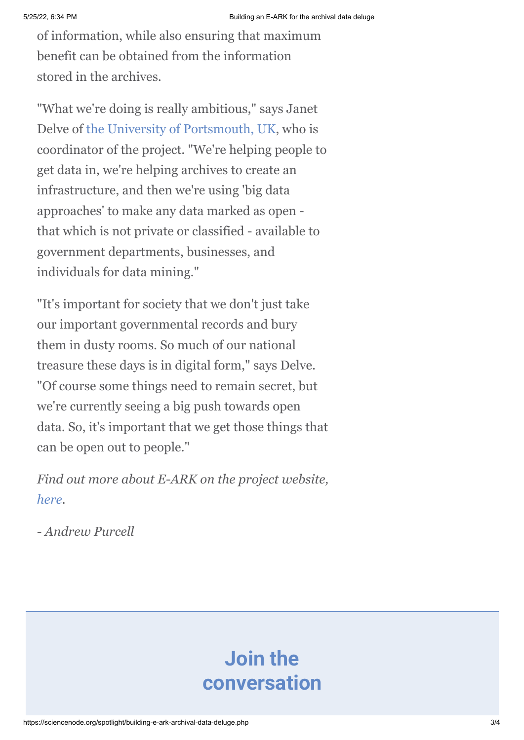of information, while also ensuring that maximum benefit can be obtained from the information stored in the archives.

"What we're doing is really ambitious," says Janet Delve of [the University of Portsmouth, UK](http://www.port.ac.uk/), who is coordinator of the project. "We're helping people to get data in, we're helping archives to create an infrastructure, and then we're using 'big data approaches' to make any data marked as open that which is not private or classified - available to government departments, businesses, and individuals for data mining."

"It's important for society that we don't just take our important governmental records and bury them in dusty rooms. So much of our national treasure these days is in digital form," says Delve. "Of course some things need to remain secret, but we're currently seeing a big push towards open data. So, it's important that we get those things that can be open out to people."

*Find out more about E-ARK on the project website, [here](http://eark-project.eu/).*

*- Andrew Purcell*

# **Join the conversation**